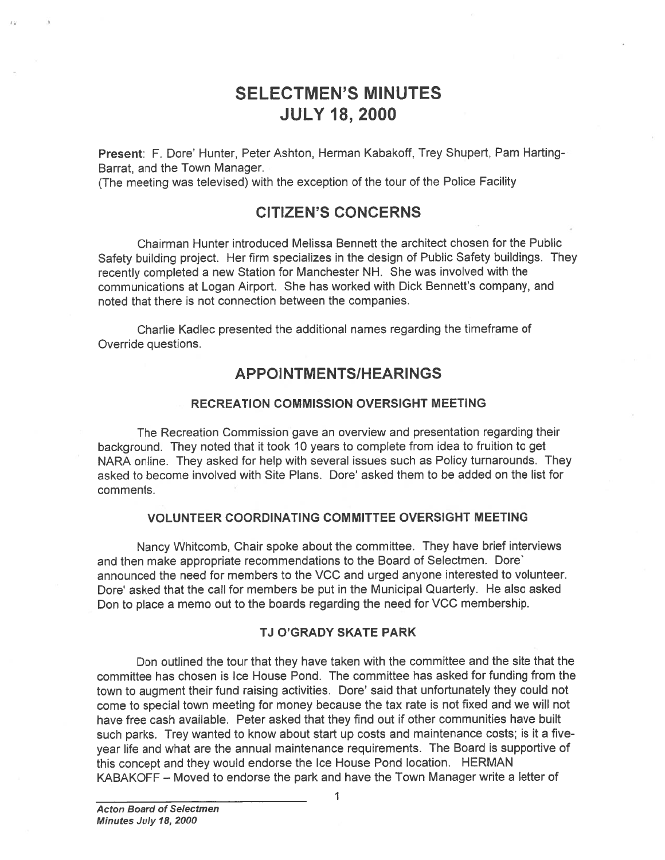# SELECTMEN'S MINUTES JULY 18, 2000

Present: F. Dore' Hunter, Peter Ashton, Herman Kabakoff, Trey Shupert, Pam Harting-Barrat, and the Town Manager.

(The meeting was televised) with the exception of the tour of the Police Facility

## CITIZEN'S CONCERNS

Chairman Hunter introduced Melissa Bennett the architect chosen for the Public Safety building project. Her firm specializes in the design of Public Safety buildings. They recently completed <sup>a</sup> new Station for Manchester NH. She was involved with the communications at Logan Airport. She has worked with Dick Bennett's company, and noted that there is not connection between the companies.

Charlie Kadlec presented the additional names regarding the timeframe of Override questions.

## APPOINTMENTS/HEARINGS

### RECREATION COMMISSION OVERSIGHT MEETING

The Recreation Commission gave an overview and presentation regarding their background. They noted that it took <sup>10</sup> years to complete from idea to fruition to ge<sup>t</sup> NARA online. They asked for help with several issues such as Policy turnarounds. They asked to become involved with Site Plans. Dore' asked them to be added on the list for comments.

### VOLUNTEER COORDINATING COMMITTEE OVERSIGHT MEETING

Nancy Whitcomb, Chair spoke about the committee. They have brief interviews and then make appropriate recommendations to the Board of Selectmen. Dore' announced the need for members to the VCC and urged anyone interested to volunteer. Dore' asked that the call for members be put in the Municipal Quarterly. He also asked Don to <sup>p</sup>lace <sup>a</sup> memo out to the boards regarding the need for VCC membership.

## TJ O'GRADY SKATE PARK

Don outlined the tour that they have taken with the committee and the site that the committee has chosen is Ice House Pond. The committee has asked for funding from the town to augment their fund raising activities. Dore' said that unfortunately they could not come to special town meeting for money because the tax rate is not fixed and we will not have free cash available. Peter asked that they find out if other communities have built such parks. Trey wanted to know about start up costs and maintenance costs; is it <sup>a</sup> fiveyear life and what are the annual maintenance requirements. The Board is supportive of this concep<sup>t</sup> and they would endorse the Ice House Pond location. HERMAN KABAKOFF — Moved to endorse the park and have the Town Manager write <sup>a</sup> letter of

1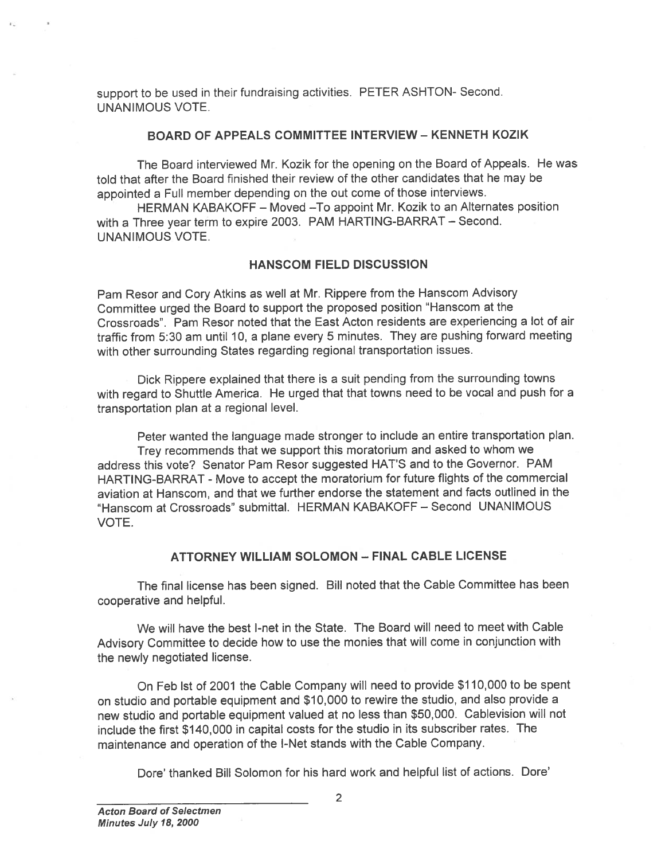suppor<sup>t</sup> to be used in their fundraising activities. PETER ASHTON- Second. UNANIMOUS VOTE.

## BOARD OF APPEALS COMMITTEE INTERVIEW - KENNETH KOZIK

The Board interviewed Mr. Kozik for the opening on the Board of Appeals. He was told that after the Board finished their review of the other candidates that he may be appointed <sup>a</sup> Full member depending on the out come of those interviews.

HERMAN KABAKOFF — Moved —To appoint Mr. Kozik to an Alternates position with <sup>a</sup> Three year term to expire 2003. PAM HARTING-BARRAT — Second. UNANIMOUS VOTE.

## HANSCOM FIELD DISCUSSION

Pam Resor and Cory Atkins as well at Mr. Rippere from the Hanscom Advisory Committee urge<sup>d</sup> the Board to suppor<sup>t</sup> the propose<sup>d</sup> position "Hanscom at the Crossroads". Pam Resor noted that the East Acton residents are experiencing <sup>a</sup> lot of air traffic from 5:30 am until 10, <sup>a</sup> <sup>p</sup>lane every 5 minutes. They are pushing forward meeting with other surrounding States regarding regional transportation issues.

Dick Rippere explained that there is <sup>a</sup> suit pending from the surrounding towns with regar<sup>d</sup> to Shuttle America. He urge<sup>d</sup> that that towns need to be vocal and pus<sup>h</sup> for <sup>a</sup> transportation <sup>p</sup>lan at <sup>a</sup> regional level.

Peter wanted the language made stronger to include an entire transportation <sup>p</sup>lan. Trey recommends that we suppor<sup>t</sup> this moratorium and asked to whom we address this vote? Senator Pam Resor suggested HAT'S and to the Governor. PAM HARTING-BARRAT - Move to accep<sup>t</sup> the moratorium for future flights of the commercial aviation at Hanscom, and that we further endorse the statement and facts outlined in the Hanscom at Crossroads" submittal. HERMAN KABAKOFF — Second UNANIMOUS **VOTE** 

## ATTORNEY WILLIAM SOLOMON — FINAL CABLE LICENSE

The final license has been signed. Bill noted that the Cable Committee has been cooperative and helpful.

We will have the best I-net in the State. The Board will need to meet with Cable Advisory Committee to decide how to use the monies that will come in conjunction with the newly negotiated license.

On Feb 1st of 2001 the Cable Company will need to provide \$110,000 to be spen<sup>t</sup> on studio and portable equipment and \$10,000 to rewire the studio, and also provide <sup>a</sup> new studio and portable equipment valued at no less than \$50,000. Cablevision will not include the first \$140,000 in capital costs for the studio in its subscriber rates. The maintenance and operation of the I-Net stands with the Cable Company.

Dore' thanked Bill Solomon for his hard work and helpful list of actions. Dore'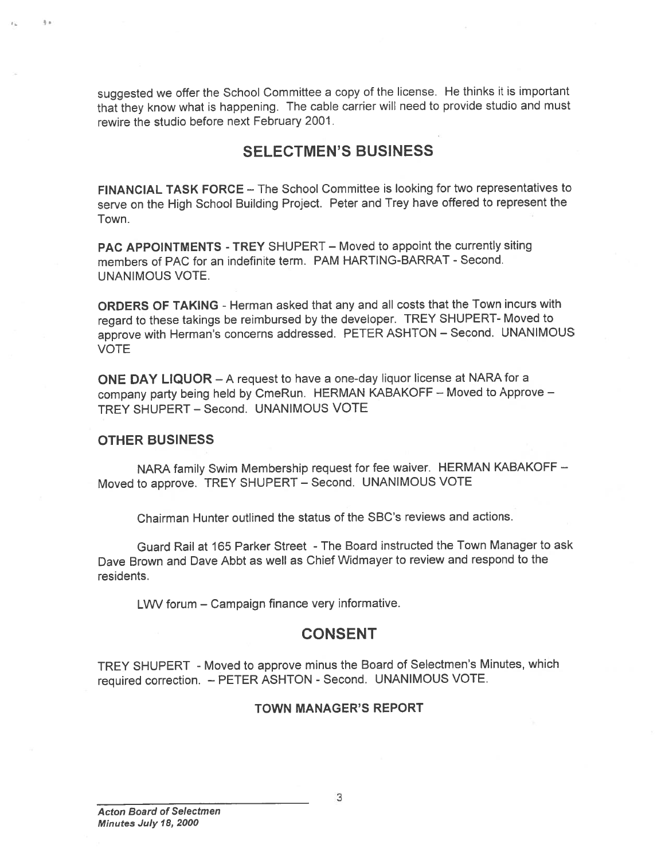suggested we offer the School Committee <sup>a</sup> copy of the license. He thinks it is important that they know what is happening. The cable carrier will need to provide studio and must rewire the studio before next February 2001.

## SELECTMEN'S BUSINESS

FINANCIAL TASK FORCE — The School Committee is looking for two representatives to serve on the High School Building Project. Peter and Trey have offered to represen<sup>t</sup> the Town.

PAC APPOINTMENTS -TREY SHUPERT — Moved to appoint the currently siting members of PAC for an indefinite term. PAM HARTING-BARRAT - Second. UNANIMOUS VOTE.

ORDERS OF TAKING - Herman asked that any and all costs that the Town incurs with regar<sup>d</sup> to these takings be reimbursed by the developer. TREY SHUPERT- Moved to approve with Herman's concerns addressed. PETER ASHTON — Second. UNANIMOUS VOTE

ONE DAY LIQUOR — <sup>A</sup> reques<sup>t</sup> to have <sup>a</sup> one-day liquor license at NARA for <sup>a</sup> company party being held by CmeRun. HERMAN KABAKOFF — Moved to Approve — TREY SHUPERT - Second. UNANIMOUS VOTE

### OTHER BUSINESS

NARA family Swim Membership reques<sup>t</sup> for fee waiver. HERMAN KABAKOFF — Moved to approve. TREY SHUPERT — Second. UNANIMOUS VOTE

Chairman Hunter outlined the status of the SBC's reviews and actions.

Guard Rail at 165 Parker Street -The Board instructed the Town Manager to ask Dave Brown and Dave Abbt as well as Chief Widmayer to review and respond to the residents.

LWV forum — Campaign finance very informative.

## **CONSENT**

TREY SHUPERT -Moved to approve minus the Board of Selectmen's Minutes, which required correction. - PETER ASHTON - Second. UNANIMOUS VOTE.

### TOWN MANAGER'S REPORT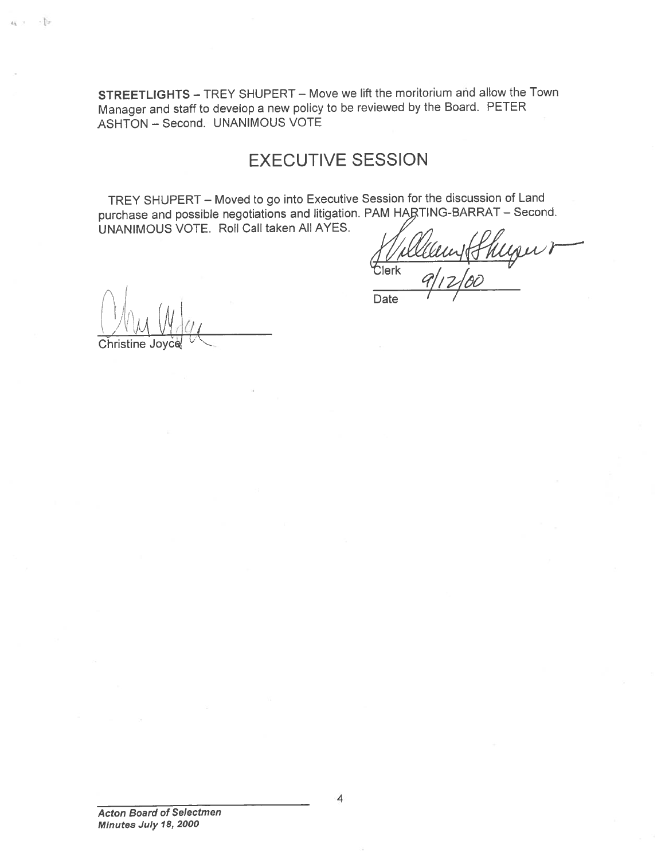STREETLIGHTS — TREY SHUPERT — Move we lift the moritorium and allow the Town Manager and staff to develop <sup>a</sup> new policy to be reviewed by the Board. PETER ASHTON — Second. UNANIMOUS VOTE

# EXECUTIVE SESSION

TREY SHUPERT — Moved to go into Executive Session for the discussion of Land purchase and possible negotiations and litigation. PAM HARTING-BARRAT - Second. UNANIMOUS VOTE. Roll Call taken All AYES.

ugur  $\begin{array}{cc} \text{lerk} & q/12/8c \end{array}$ **Date** 

L' VVU VI Christine

 $\epsilon_1$  .  $\mathbb{D}$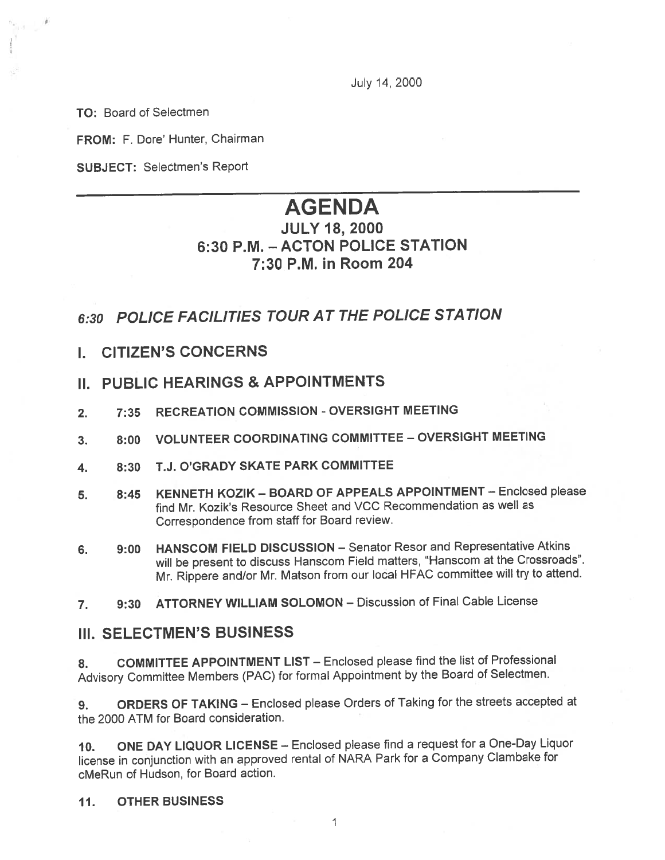July 14, 2000

TO: Board of Selectmen

FROM: F. Dore' Hunter, Chairman

SUBJECT: Selectmen's Report

# AGENDA

## JULY 18, 2000 6:30 P.M. -ACTON POLICE STATION 7:30 P.M. in Room 204

# 6:30 POLICE FAC1L1T1ES TOUR AT THE POLICE STATION

- I. CITIZEN'S CONCERNS
- II. PUBLIC HEARINGS & APPOINTMENTS
- 2. 7:35 RECREATION COMMISSION OVERSIGHT MEETING
- 3. 8:00 VOLUNTEER COORDINATING COMMITTEE OVERSIGHT MEETING
- 4. 8:30 T.J. O'GRADY SKATE PARK COMMITTEE
- 5. 8:45 KENNETH KOZIK BOARD OF APPEALS APPOINTMENT Enclosed <sup>p</sup>lease find Mr. Kozik's Resource Sheet and VCC Recommendation as well as Correspondence from staff for Board review.
- 6. 9:00 HANSCOM FIELD DISCUSSION Senator Resor and Representative Atkins will be presen<sup>t</sup> to discuss Hanscom Field matters, "Hanscom at the Crossroads". Mr. Rippere and/or Mr. Matson from our local HFAC committee will try to attend.
- 7. 9:30 ATTORNEY WILLIAM SOLOMON Discussion of Final Cable License

## Jil. SELECTMEN'S BUSINESS

8. COMMITTEE APPOINTMENT LIST — Enclosed <sup>p</sup>lease find the list of Professional Advisory Committee Members (PAC) for formal Appointment by the Board of Selectmen.

9. ORDERS OF TAKING — Enclosed <sup>p</sup>lease Orders of Taking for the streets accepted at the 2000 ATM for Board consideration.

10. ONE DAY LIQUOR LICENSE — Enclosed <sup>p</sup>lease find <sup>a</sup> reques<sup>t</sup> for <sup>a</sup> One-Day Liquor license in conjunction with an approve<sup>d</sup> rental of NARA Park for <sup>a</sup> Company Clambake for cMeRun of Hudson, for Board action.

## 11. OTHER BUSINESS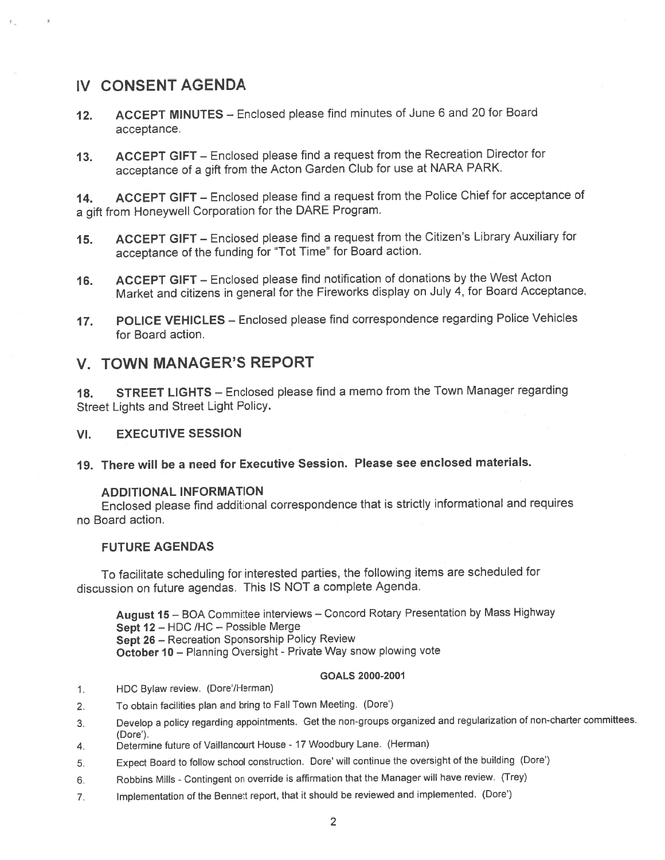## IV CONSENT AGENDA

- 12. ACCEPT MINUTES Enclosed <sup>p</sup>lease find minutes of June <sup>6</sup> and <sup>20</sup> for Board acceptance.
- 13. ACCEPT GIFT Enclosed <sup>p</sup>lease find <sup>a</sup> reques<sup>t</sup> from the Recreation Director for acceptance of <sup>a</sup> <sup>g</sup>ift from the Acton Garden Club for use at NARA PARK.

14. ACCEPT GIFT – Enclosed please find a request from the Police Chief for acceptance of <sup>a</sup> <sup>g</sup>ift from Honeywell Corporation for the DARE Program.

- 15. ACCEPT GIFT Enclosed <sup>p</sup>lease find <sup>a</sup> reques<sup>t</sup> from the Citizen's Library Auxiliary for acceptance of the funding for "Tot Time" for Board action.
- 16. ACCEPT GIFT Enclosed <sup>p</sup>lease find notification of donations by the West Acton Market and citizens in genera<sup>l</sup> for the Fireworks display on July 4, for Board Acceptance.
- 17. POLICE VEHICLES Enclosed <sup>p</sup>lease find correspondence regarding Police Vehicles for Board action.

## V. TOWN MANAGER'S REPORT

18. STREET LIGHTS - Enclosed please find a memo from the Town Manager regarding Street Lights and Street Light Policy.

## VI. EXECUTIVE SESSION

19. There will be <sup>a</sup> need for Executive Session. Please see enclosed materials.

## ADDITIONAL INFORMATION

Enclosed <sup>p</sup>lease find additional correspondence that is strictly informational and requires no Board action.

## FUTURE AGENDAS

To facilitate scheduling for interested parties, the following items are scheduled for discussion on future agendas. This IS NOT <sup>a</sup> complete Agenda.

August <sup>15</sup> — BOA Committee interviews — Concord Rotary Presentation by Mass Highway Sept <sup>12</sup> — HDC /HC — Possible Merge Sept <sup>26</sup> — Recreation Sponsorship Policy Review October 10 — Planning Oversight - Private Way snow <sup>p</sup>lowing vote

### GOALS 2000-2001

- 1. HDC Bylaw review. (Dore'/Herman)
- 2. To obtain facilities <sup>p</sup>lan and bring to Fall Town Meeting. (Dote')
- 3. Develop <sup>a</sup> policy regarding appointments. Get the non-groups organized and regularization of non-charter committees. (Dote').
- 4. Determine future of Vaillancourt House 17 Woodbury Lane. (Herman)
- 5. Expect Board to follow school construction. Dore' will continue the oversight of the building (Dote')
- 6. Robbins Mills Contingent on override is affirmation that the Manager will have review. (Trey)
- 7. Implementation of the Bennett report, that it should be reviewed and implemented. (Dote')